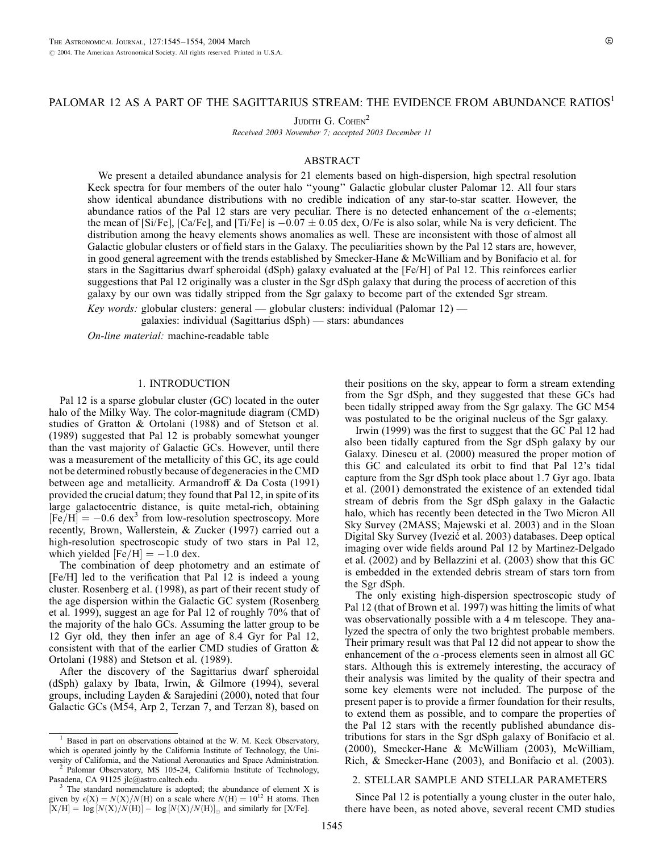# PALOMAR 12 AS A PART OF THE SAGITTARIUS STREAM: THE EVIDENCE FROM ABUNDANCE RATIOS<sup>1</sup>

JUDITH G. COHEN<sup>2</sup>

Received 2003 November 7; accepted 2003 December 11

#### ABSTRACT

We present a detailed abundance analysis for 21 elements based on high-dispersion, high spectral resolution Keck spectra for four members of the outer halo ''young'' Galactic globular cluster Palomar 12. All four stars show identical abundance distributions with no credible indication of any star-to-star scatter. However, the abundance ratios of the Pal 12 stars are very peculiar. There is no detected enhancement of the  $\alpha$ -elements; the mean of [Si/Fe], [Ca/Fe], and [Ti/Fe] is  $-0.07 \pm 0.05$  dex, O/Fe is also solar, while Na is very deficient. The distribution among the heavy elements shows anomalies as well. These are inconsistent with those of almost all Galactic globular clusters or of field stars in the Galaxy. The peculiarities shown by the Pal 12 stars are, however, in good general agreement with the trends established by Smecker-Hane & McWilliam and by Bonifacio et al. for stars in the Sagittarius dwarf spheroidal (dSph) galaxy evaluated at the [Fe/H] of Pal 12. This reinforces earlier suggestions that Pal 12 originally was a cluster in the Sgr dSph galaxy that during the process of accretion of this galaxy by our own was tidally stripped from the Sgr galaxy to become part of the extended Sgr stream.

Key words: globular clusters: general — globular clusters: individual (Palomar 12) galaxies: individual (Sagittarius dSph) — stars: abundances

On-line material: machine-readable table

### 1. INTRODUCTION

Pal 12 is a sparse globular cluster (GC) located in the outer halo of the Milky Way. The color-magnitude diagram (CMD) studies of Gratton & Ortolani (1988) and of Stetson et al. (1989) suggested that Pal 12 is probably somewhat younger than the vast majority of Galactic GCs. However, until there was a measurement of the metallicity of this GC, its age could not be determined robustly because of degeneracies in the CMD between age and metallicity. Armandroff & Da Costa (1991) provided the crucial datum; they found that Pal 12, in spite of its large galactocentric distance, is quite metal-rich, obtaining  $[Fe/H] = -0.6$  dex<sup>3</sup> from low-resolution spectroscopy. More recently, Brown, Wallerstein, & Zucker (1997) carried out a high-resolution spectroscopic study of two stars in Pal 12, which yielded  $[Fe/H] = -1.0$  dex.

The combination of deep photometry and an estimate of [Fe/H] led to the verification that Pal 12 is indeed a young cluster. Rosenberg et al. (1998), as part of their recent study of the age dispersion within the Galactic GC system (Rosenberg et al. 1999), suggest an age for Pal 12 of roughly 70% that of the majority of the halo GCs. Assuming the latter group to be 12 Gyr old, they then infer an age of 8.4 Gyr for Pal 12, consistent with that of the earlier CMD studies of Gratton & Ortolani (1988) and Stetson et al. (1989).

After the discovery of the Sagittarius dwarf spheroidal (dSph) galaxy by Ibata, Irwin, & Gilmore (1994), several groups, including Layden & Sarajedini (2000), noted that four Galactic GCs (M54, Arp 2, Terzan 7, and Terzan 8), based on

versity of California, and the National Aeronautics and Space Administration.<br><sup>2</sup> Palomar Observatory, MS 105-24, California Institute of Technology, Pasadena, CA 91125 jlc@astro.caltech.edu.

their positions on the sky, appear to form a stream extending from the Sgr dSph, and they suggested that these GCs had been tidally stripped away from the Sgr galaxy. The GC M54 was postulated to be the original nucleus of the Sgr galaxy.

Irwin (1999) was the first to suggest that the GC Pal 12 had also been tidally captured from the Sgr dSph galaxy by our Galaxy. Dinescu et al. (2000) measured the proper motion of this GC and calculated its orbit to find that Pal 12's tidal capture from the Sgr dSph took place about 1.7 Gyr ago. Ibata et al. (2001) demonstrated the existence of an extended tidal stream of debris from the Sgr dSph galaxy in the Galactic halo, which has recently been detected in the Two Micron All Sky Survey (2MASS; Majewski et al. 2003) and in the Sloan Digital Sky Survey (Ivezić et al. 2003) databases. Deep optical imaging over wide fields around Pal 12 by Martinez-Delgado et al. (2002) and by Bellazzini et al. (2003) show that this GC is embedded in the extended debris stream of stars torn from the Sgr dSph.

The only existing high-dispersion spectroscopic study of Pal 12 (that of Brown et al. 1997) was hitting the limits of what was observationally possible with a 4 m telescope. They analyzed the spectra of only the two brightest probable members. Their primary result was that Pal 12 did not appear to show the enhancement of the  $\alpha$ -process elements seen in almost all GC stars. Although this is extremely interesting, the accuracy of their analysis was limited by the quality of their spectra and some key elements were not included. The purpose of the present paper is to provide a firmer foundation for their results, to extend them as possible, and to compare the properties of the Pal 12 stars with the recently published abundance distributions for stars in the Sgr dSph galaxy of Bonifacio et al. (2000), Smecker-Hane & McWilliam (2003), McWilliam, Rich, & Smecker-Hane (2003), and Bonifacio et al. (2003).

### 2. STELLAR SAMPLE AND STELLAR PARAMETERS

Since Pal 12 is potentially a young cluster in the outer halo, there have been, as noted above, several recent CMD studies

<sup>&</sup>lt;sup>1</sup> Based in part on observations obtained at the W. M. Keck Observatory, which is operated jointly by the California Institute of Technology, the Uni-

The standard nomenclature is adopted; the abundance of element X is given by  $\epsilon(X) = N(X)/N(H)$  on a scale where  $N(H) = 10^{12}$  H atoms. Then  $[X/H] = \log [N(X)/N(H)] - \log [N(X)/N(H)]_0$  and similarly for [X/Fe].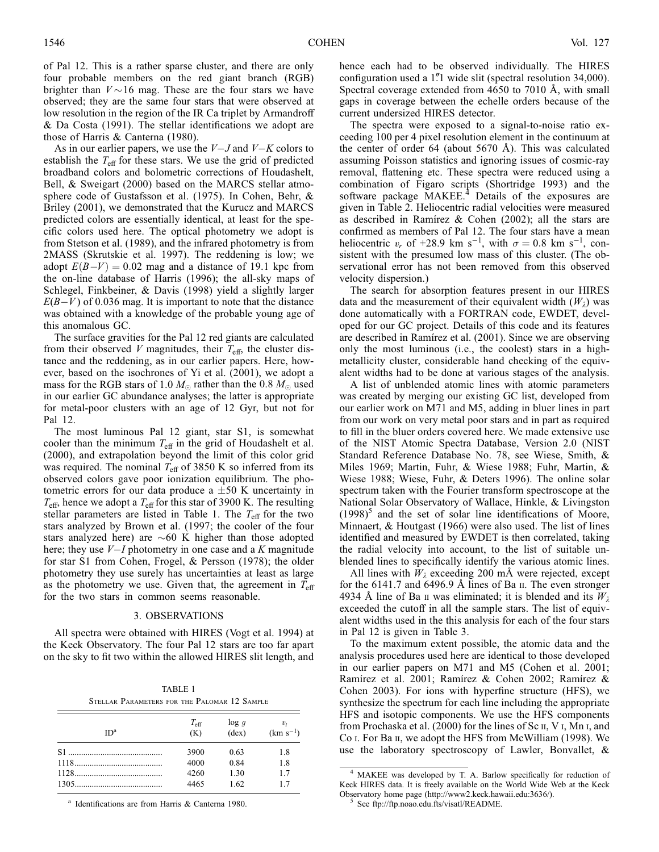of Pal 12. This is a rather sparse cluster, and there are only four probable members on the red giant branch (RGB) brighter than  $V \sim 16$  mag. These are the four stars we have observed; they are the same four stars that were observed at low resolution in the region of the IR Ca triplet by Armandroff & Da Costa (1991). The stellar identifications we adopt are those of Harris & Canterna (1980).

As in our earlier papers, we use the  $V-J$  and  $V-K$  colors to establish the  $T_{\text{eff}}$  for these stars. We use the grid of predicted broadband colors and bolometric corrections of Houdashelt, Bell, & Sweigart (2000) based on the MARCS stellar atmosphere code of Gustafsson et al. (1975). In Cohen, Behr, & Briley (2001), we demonstrated that the Kurucz and MARCS predicted colors are essentially identical, at least for the specific colors used here. The optical photometry we adopt is from Stetson et al. (1989), and the infrared photometry is from 2MASS (Skrutskie et al. 1997). The reddening is low; we adopt  $E(B-V) = 0.02$  mag and a distance of 19.1 kpc from the on-line database of Harris (1996); the all-sky maps of Schlegel, Finkbeiner, & Davis (1998) yield a slightly larger  $E(B-V)$  of 0.036 mag. It is important to note that the distance was obtained with a knowledge of the probable young age of this anomalous GC.

The surface gravities for the Pal 12 red giants are calculated from their observed V magnitudes, their  $T_{\text{eff}}$ , the cluster distance and the reddening, as in our earlier papers. Here, however, based on the isochrones of Yi et al. (2001), we adopt a mass for the RGB stars of 1.0  $M_{\odot}$  rather than the 0.8  $M_{\odot}$  used in our earlier GC abundance analyses; the latter is appropriate for metal-poor clusters with an age of 12 Gyr, but not for Pal 12.

The most luminous Pal 12 giant, star S1, is somewhat cooler than the minimum  $T_{\text{eff}}$  in the grid of Houdashelt et al. (2000), and extrapolation beyond the limit of this color grid was required. The nominal  $T_{\text{eff}}$  of 3850 K so inferred from its observed colors gave poor ionization equilibrium. The photometric errors for our data produce a  $\pm 50$  K uncertainty in  $T_{\text{eff}}$ , hence we adopt a  $T_{\text{eff}}$  for this star of 3900 K. The resulting stellar parameters are listed in Table 1. The  $T_{\text{eff}}$  for the two stars analyzed by Brown et al. (1997; the cooler of the four stars analyzed here) are  $\sim 60$  K higher than those adopted here; they use  $V-I$  photometry in one case and a K magnitude for star S1 from Cohen, Frogel, & Persson (1978); the older photometry they use surely has uncertainties at least as large as the photometry we use. Given that, the agreement in  $T_{\text{eff}}$ for the two stars in common seems reasonable.

#### 3. OBSERVATIONS

All spectra were obtained with HIRES (Vogt et al. 1994) at the Keck Observatory. The four Pal 12 stars are too far apart on the sky to fit two within the allowed HIRES slit length, and

| TABLE 1 |                                              |  |  |  |  |  |  |
|---------|----------------------------------------------|--|--|--|--|--|--|
|         | STELLAR PARAMETERS FOR THE PALOMAR 12 SAMPLE |  |  |  |  |  |  |

| ID <sup>a</sup>                                                                                                                                                                                                              | $T_{\rm eff}$<br>(K) | log q<br>$(\text{dex})$ | $v_{t}$<br>$(km s^{-1})$ |
|------------------------------------------------------------------------------------------------------------------------------------------------------------------------------------------------------------------------------|----------------------|-------------------------|--------------------------|
| $S1$ and $S1$ and $S2$ and $S3$ and $S4$ and $S5$ and $S6$ and $S7$ and $S7$ and $S7$ and $S7$ and $S7$ and $S7$ and $S7$ and $S7$ and $S7$ and $S7$ and $S7$ and $S7$ and $S7$ and $S7$ and $S7$ and $S7$ and $S7$ and $S7$ | 3900                 | 0.63                    | 1.8                      |
|                                                                                                                                                                                                                              | 4000                 | 0.84                    | 1.8                      |
|                                                                                                                                                                                                                              | 4260                 | 1.30                    | 1.7                      |
|                                                                                                                                                                                                                              | 4465                 | 1.62                    | 17                       |

<sup>a</sup> Identifications are from Harris & Canterna 1980.

hence each had to be observed individually. The HIRES configuration used a 1.<sup>*P*</sup>1 wide slit (spectral resolution 34,000). Spectral coverage extended from 4650 to 7010 Å, with small gaps in coverage between the echelle orders because of the current undersized HIRES detector.

The spectra were exposed to a signal-to-noise ratio exceeding 100 per 4 pixel resolution element in the continuum at the center of order 64 (about 5670 Å). This was calculated assuming Poisson statistics and ignoring issues of cosmic-ray removal, flattening etc. These spectra were reduced using a combination of Figaro scripts (Shortridge 1993) and the software package MAKEE.<sup>4</sup> Details of the exposures are given in Table 2. Heliocentric radial velocities were measured as described in Ramírez & Cohen (2002); all the stars are confirmed as members of Pal 12. The four stars have a mean heliocentric  $v_r$  of +28.9 km s<sup>-1</sup>, with  $\sigma = 0.8$  km s<sup>-1</sup>, consistent with the presumed low mass of this cluster. (The observational error has not been removed from this observed velocity dispersion.)

The search for absorption features present in our HIRES data and the measurement of their equivalent width  $(W_{\lambda})$  was done automatically with a FORTRAN code, EWDET, developed for our GC project. Details of this code and its features are described in Ramirez et al. (2001). Since we are observing only the most luminous (i.e., the coolest) stars in a highmetallicity cluster, considerable hand checking of the equivalent widths had to be done at various stages of the analysis.

A list of unblended atomic lines with atomic parameters was created by merging our existing GC list, developed from our earlier work on M71 and M5, adding in bluer lines in part from our work on very metal poor stars and in part as required to fill in the bluer orders covered here. We made extensive use of the NIST Atomic Spectra Database, Version 2.0 (NIST Standard Reference Database No. 78, see Wiese, Smith, & Miles 1969; Martin, Fuhr, & Wiese 1988; Fuhr, Martin, & Wiese 1988; Wiese, Fuhr, & Deters 1996). The online solar spectrum taken with the Fourier transform spectroscope at the National Solar Observatory of Wallace, Hinkle, & Livingston  $(1998)^5$  and the set of solar line identifications of Moore, Minnaert, & Houtgast (1966) were also used. The list of lines identified and measured by EWDET is then correlated, taking the radial velocity into account, to the list of suitable unblended lines to specifically identify the various atomic lines.

All lines with  $W_i$  exceeding 200 mÅ were rejected, except for the 6141.7 and 6496.9 Å lines of Ba  $\scriptstyle\rm II.$  The even stronger 4934 Å line of Ba II was eliminated; it is blended and its  $W_{\lambda}$ exceeded the cutoff in all the sample stars. The list of equivalent widths used in the this analysis for each of the four stars in Pal 12 is given in Table 3.

To the maximum extent possible, the atomic data and the analysis procedures used here are identical to those developed in our earlier papers on M71 and M5 (Cohen et al. 2001; Ramírez et al. 2001; Ramírez & Cohen 2002; Ramírez & Cohen 2003). For ions with hyperfine structure (HFS), we synthesize the spectrum for each line including the appropriate HFS and isotopic components. We use the HFS components from Prochaska et al. (2000) for the lines of Sc ii, V i, Mn i, and Co i. For Ba ii, we adopt the HFS from McWilliam (1998). We use the laboratory spectroscopy of Lawler, Bonvallet, &

<sup>4</sup> MAKEE was developed by T. A. Barlow specifically for reduction of Keck HIRES data. It is freely available on the World Wide Web at the Keck Observatory home page (http://www2.keck.hawaii.edu:3636/). <sup>5</sup> See ftp://ftp.noao.edu.fts/visatl/README.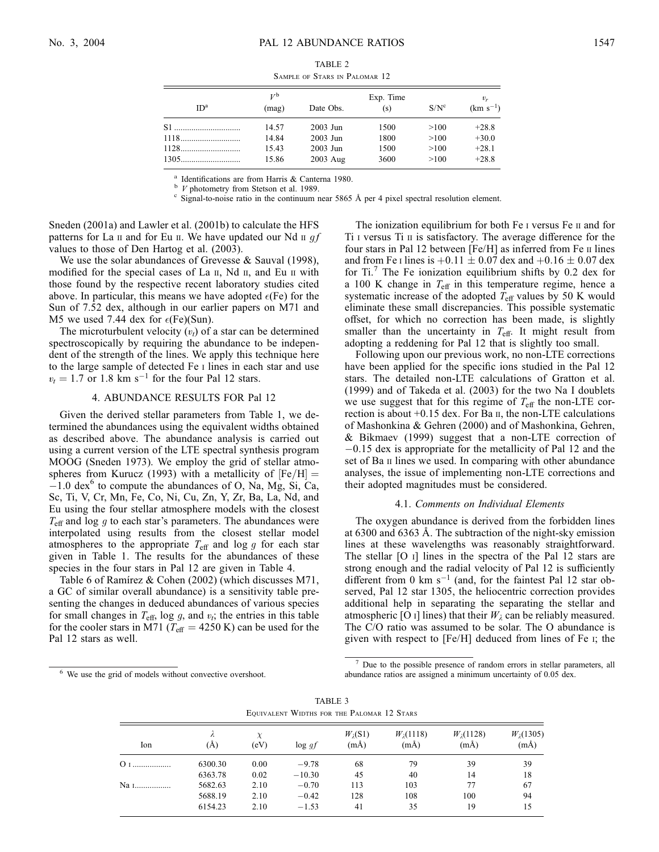| ID <sup>a</sup> | $V^{\rm b}$<br>(mag) | Date Obs. | Exp. Time<br>(s) | $S/N^c$ | $v_{r}$<br>$(km s^{-1})$ |
|-----------------|----------------------|-----------|------------------|---------|--------------------------|
|                 | 14.57                | 2003 Jun  | 1500             | >100    | $+28.8$                  |
|                 | 14.84                | 2003 Jun  | 1800             | >100    | $+30.0$                  |
|                 | 15.43                | 2003 Jun  | 1500             | >100    | $+28.1$                  |
|                 | 15.86                | 2003 Aug  | 3600             | >100    | $+28.8$                  |

Sample of Stars in Palomar 12

<sup>a</sup> Identifications are from Harris & Canterna 1980.<br><sup>b</sup> *V* photometry from Stetson et al. 1989.<br><sup>c</sup> Signal-to-noise ratio in the continuum near 5865 Å per 4 pixel spectral resolution element.

Sneden (2001a) and Lawler et al. (2001b) to calculate the HFS patterns for La  $\pi$  and for Eu  $\pi$ . We have updated our Nd  $\pi$  *af* values to those of Den Hartog et al. (2003).

We use the solar abundances of Grevesse & Sauval (1998), modified for the special cases of La  $II$ , Nd  $II$ , and Eu  $II$  with those found by the respective recent laboratory studies cited above. In particular, this means we have adopted  $\epsilon$ (Fe) for the Sun of 7.52 dex, although in our earlier papers on M71 and M5 we used 7.44 dex for  $\epsilon$ (Fe)(Sun).

The microturbulent velocity  $(v_t)$  of a star can be determined spectroscopically by requiring the abundance to be independent of the strength of the lines. We apply this technique here to the large sample of detected Fe i lines in each star and use  $v_t = 1.7$  or 1.8 km s<sup>-1</sup> for the four Pal 12 stars.

### 4. ABUNDANCE RESULTS FOR Pal 12

Given the derived stellar parameters from Table 1, we determined the abundances using the equivalent widths obtained as described above. The abundance analysis is carried out using a current version of the LTE spectral synthesis program MOOG (Sneden 1973). We employ the grid of stellar atmospheres from Kurucz (1993) with a metallicity of  $[Fe/H] =$  $-1.0$  dex<sup>6</sup> to compute the abundances of O, Na, Mg, Si, Ca, Sc, Ti, V, Cr, Mn, Fe, Co, Ni, Cu, Zn, Y, Zr, Ba, La, Nd, and Eu using the four stellar atmosphere models with the closest  $T_{\text{eff}}$  and log g to each star's parameters. The abundances were interpolated using results from the closest stellar model atmospheres to the appropriate  $T_{\text{eff}}$  and log g for each star given in Table 1. The results for the abundances of these species in the four stars in Pal 12 are given in Table 4.

Table 6 of Ramírez & Cohen (2002) (which discusses M71, a GC of similar overall abundance) is a sensitivity table presenting the changes in deduced abundances of various species for small changes in  $T_{\text{eff}}$ , log g, and  $v_t$ ; the entries in this table for the cooler stars in M71 ( $T_{\text{eff}}$  = 4250 K) can be used for the Pal 12 stars as well.

The ionization equilibrium for both Fe I versus Fe II and for Ti i versus Ti ii is satisfactory. The average difference for the four stars in Pal 12 between [Fe/H] as inferred from Fe  $\scriptstyle\rm II$  lines and from Fe I lines is  $+0.11 \pm 0.07$  dex and  $+0.16 \pm 0.07$  dex for Ti.<sup>7</sup> The Fe ionization equilibrium shifts by 0.2 dex for a 100 K change in  $T_{\text{eff}}$  in this temperature regime, hence a systematic increase of the adopted  $T_{\text{eff}}$  values by 50 K would eliminate these small discrepancies. This possible systematic offset, for which no correction has been made, is slightly smaller than the uncertainty in  $T_{\text{eff}}$ . It might result from adopting a reddening for Pal 12 that is slightly too small.

Following upon our previous work, no non-LTE corrections have been applied for the specific ions studied in the Pal 12 stars. The detailed non-LTE calculations of Gratton et al. (1999) and of Takeda et al. (2003) for the two Na I doublets we use suggest that for this regime of  $T_{\text{eff}}$  the non-LTE correction is about  $+0.15$  dex. For Ba  $\text{II}$ , the non-LTE calculations of Mashonkina & Gehren (2000) and of Mashonkina, Gehren, & Bikmaev (1999) suggest that a non-LTE correction of  $-0.15$  dex is appropriate for the metallicity of Pal 12 and the set of Ba II lines we used. In comparing with other abundance analyses, the issue of implementing non-LTE corrections and their adopted magnitudes must be considered.

#### 4.1. Comments on Individual Elements

The oxygen abundance is derived from the forbidden lines at 6300 and 6363 Å. The subtraction of the night-sky emission lines at these wavelengths was reasonably straightforward. The stellar [O i] lines in the spectra of the Pal 12 stars are strong enough and the radial velocity of Pal 12 is sufficiently different from 0 km  $s^{-1}$  (and, for the faintest Pal 12 star observed, Pal 12 star 1305, the heliocentric correction provides additional help in separating the separating the stellar and atmospheric [O i] lines) that their  $W_{\lambda}$  can be reliably measured. The C/O ratio was assumed to be solar. The O abundance is given with respect to [Fe/H] deduced from lines of Fe i; the

<sup>6</sup> We use the grid of models without convective overshoot.

Due to the possible presence of random errors in stellar parameters, all abundance ratios are assigned a minimum uncertainty of 0.05 dex.

TABLE 3 Equivalent Widths for the Palomar 12 Stars

| Ion  | $\lambda$<br>(A) | χ<br>(eV) | $\log gf$ | $W_2(S1)$<br>$(m\AA)$ | $W_1(1118)$<br>$(m\AA)$ | $W_1(1128)$<br>$(m\AA)$ | $W_{\lambda}(1305)$<br>$(m\AA)$ |
|------|------------------|-----------|-----------|-----------------------|-------------------------|-------------------------|---------------------------------|
|      | 6300.30          | 0.00      | $-9.78$   | 68                    | 79                      | 39                      | 39                              |
|      | 6363.78          | 0.02      | $-10.30$  | 45                    | 40                      | 14                      | 18                              |
| Na 1 | 5682.63          | 2.10      | $-0.70$   | 113                   | 103                     | 77                      | 67                              |
|      | 5688.19          | 2.10      | $-0.42$   | 128                   | 108                     | 100                     | 94                              |
|      | 6154.23          | 2.10      | $-1.53$   | 41                    | 35                      | 19                      | 15                              |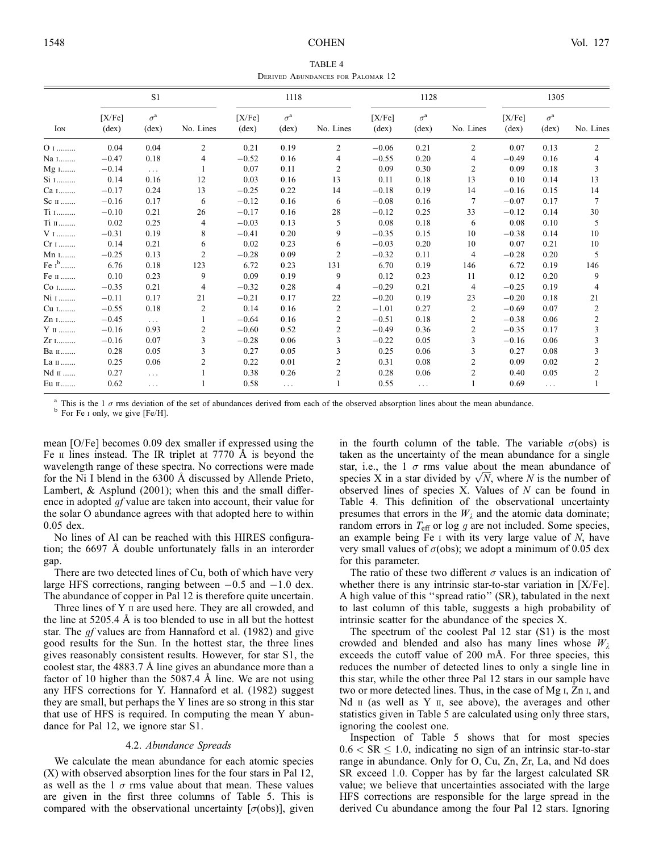TABLE 4 Derived Abundances for Palomar 12

|                   | S1                       |                                    |           | 1118                     |                                    |                | 1128                     |                                    |                  | 1305                     |                                    |           |
|-------------------|--------------------------|------------------------------------|-----------|--------------------------|------------------------------------|----------------|--------------------------|------------------------------------|------------------|--------------------------|------------------------------------|-----------|
| ION               | [X/Fe]<br>$(\text{dex})$ | $\sigma^{\rm a}$<br>$(\text{dex})$ | No. Lines | [X/Fe]<br>$(\text{dex})$ | $\sigma^{\rm a}$<br>$(\text{dex})$ | No. Lines      | [X/Fe]<br>$(\text{dex})$ | $\sigma^{\rm a}$<br>$(\text{dex})$ | No. Lines        | [X/Fe]<br>$(\text{dex})$ | $\sigma^{\rm a}$<br>$(\text{dex})$ | No. Lines |
| $01$              | 0.04                     | 0.04                               | 2         | 0.21                     | 0.19                               | 2              | $-0.06$                  | 0.21                               | 2                | 0.07                     | 0.13                               | 2         |
| Na 1              | $-0.47$                  | 0.18                               | 4         | $-0.52$                  | 0.16                               | 4              | $-0.55$                  | 0.20                               | 4                | $-0.49$                  | 0.16                               | 4         |
| $Mg$ 1            | $-0.14$                  | $\cdots$                           |           | 0.07                     | 0.11                               | $\mathfrak{2}$ | 0.09                     | 0.30                               | $\overline{c}$   | 0.09                     | 0.18                               | 3         |
| $Si$ $1$          | 0.14                     | 0.16                               | 12        | 0.03                     | 0.16                               | 13             | 0.11                     | 0.18                               | 13               | 0.10                     | 0.14                               | 13        |
| Ca 1              | $-0.17$                  | 0.24                               | 13        | $-0.25$                  | 0.22                               | 14             | $-0.18$                  | 0.19                               | 14               | $-0.16$                  | 0.15                               | 14        |
| $\rm Sc\,$ п $$   | $-0.16$                  | 0.17                               | 6         | $-0.12$                  | 0.16                               | 6              | $-0.08$                  | 0.16                               | 7                | $-0.07$                  | 0.17                               | 7         |
| Ti 1              | $-0.10$                  | 0.21                               | 26        | $-0.17$                  | 0.16                               | 28             | $-0.12$                  | 0.25                               | 33               | $-0.12$                  | 0.14                               | 30        |
| $\rm Ti~\sc m$    | 0.02                     | 0.25                               | 4         | $-0.03$                  | 0.13                               | 5              | 0.08                     | 0.18                               | 6                | 0.08                     | 0.10                               | 5         |
| $\rm{V}$ $\rm{I}$ | $-0.31$                  | 0.19                               | 8         | $-0.41$                  | 0.20                               | 9              | $-0.35$                  | 0.15                               | 10               | $-0.38$                  | 0.14                               | 10        |
| $Cr_1$            | 0.14                     | 0.21                               | 6         | 0.02                     | 0.23                               | 6              | $-0.03$                  | 0.20                               | 10               | 0.07                     | 0.21                               | 10        |
| Mn 1              | $-0.25$                  | 0.13                               | 2         | $-0.28$                  | 0.09                               | 2              | $-0.32$                  | 0.11                               | 4                | $-0.28$                  | 0.20                               | 5         |
| Fe $I^b$          | 6.76                     | 0.18                               | 123       | 6.72                     | 0.23                               | 131            | 6.70                     | 0.19                               | 146              | 6.72                     | 0.19                               | 146       |
| Fe п              | 0.10                     | 0.23                               | 9         | 0.09                     | 0.19                               | 9              | 0.12                     | 0.23                               | 11               | 0.12                     | 0.20                               | 9         |
| Co 1              | $-0.35$                  | 0.21                               | 4         | $-0.32$                  | 0.28                               | 4              | $-0.29$                  | 0.21                               | 4                | $-0.25$                  | 0.19                               | 4         |
| Ni 1              | $-0.11$                  | 0.17                               | 21        | $-0.21$                  | 0.17                               | 22             | $-0.20$                  | 0.19                               | 23               | $-0.20$                  | 0.18                               | 21        |
| Cu 1              | $-0.55$                  | 0.18                               | 2         | 0.14                     | 0.16                               | 2              | $-1.01$                  | 0.27                               | 2                | $-0.69$                  | 0.07                               | 2         |
| Zn 1              | $-0.45$                  | $\cdots$                           |           | $-0.64$                  | 0.16                               | 2              | $-0.51$                  | 0.18                               | 2                | $-0.38$                  | 0.06                               | 2         |
| $Y$ II            | $-0.16$                  | 0.93                               | 2         | $-0.60$                  | 0.52                               | 2              | $-0.49$                  | 0.36                               | 2                | $-0.35$                  | 0.17                               | 3         |
| Zr 1              | $-0.16$                  | 0.07                               | 3         | $-0.28$                  | 0.06                               | 3              | $-0.22$                  | 0.05                               | 3                | $-0.16$                  | 0.06                               | 3         |
| Ва п              | 0.28                     | 0.05                               | 3         | 0.27                     | 0.05                               | 3              | 0.25                     | 0.06                               | 3                | 0.27                     | 0.08                               | 3         |
| La п              | 0.25                     | 0.06                               | 2         | 0.22                     | 0.01                               | 2              | 0.31                     | 0.08                               | 2                | 0.09                     | 0.02                               | 2         |
| Nd II             | 0.27                     | $\cdots$                           |           | 0.38                     | 0.26                               | $\overline{c}$ | 0.28                     | 0.06                               | $\boldsymbol{2}$ | 0.40                     | 0.05                               | 2         |
| Eu п              | 0.62                     | $\cdots$                           |           | 0.58                     | $\cdots$                           |                | 0.55                     | $\cdots$                           |                  | 0.69                     | $\cdots$                           |           |

<sup>a</sup> This is the 1  $\sigma$  rms deviation of the set of abundances derived from each of the observed absorption lines about the mean abundance. <sup>b</sup> For Fe i only, we give [Fe/H].

mean [O/Fe] becomes 0.09 dex smaller if expressed using the Fe  $\scriptstyle\rm II$  lines instead. The IR triplet at 7770 Å is beyond the wavelength range of these spectra. No corrections were made for the Ni I blend in the 6300 Å discussed by Allende Prieto, Lambert, & Asplund (2001); when this and the small difference in adopted *gf* value are taken into account, their value for the solar O abundance agrees with that adopted here to within 0.05 dex.

No lines of Al can be reached with this HIRES configuration; the 6697 Å double unfortunately falls in an interorder gap.

There are two detected lines of Cu, both of which have very large HFS corrections, ranging between  $-0.5$  and  $-1.0$  dex. The abundance of copper in Pal 12 is therefore quite uncertain.

Three lines of Y  $\scriptstyle\rm II$  are used here. They are all crowded, and the line at  $5205.4 \text{ Å}$  is too blended to use in all but the hottest star. The *gf* values are from Hannaford et al. (1982) and give good results for the Sun. In the hottest star, the three lines gives reasonably consistent results. However, for star S1, the coolest star, the  $4883.7 \text{ Å}$  line gives an abundance more than a factor of 10 higher than the  $5087.4 \text{ Å}$  line. We are not using any HFS corrections for Y. Hannaford et al. (1982) suggest they are small, but perhaps the Y lines are so strong in this star that use of HFS is required. In computing the mean Y abundance for Pal 12, we ignore star S1.

#### 4.2. Abundance Spreads

We calculate the mean abundance for each atomic species (X) with observed absorption lines for the four stars in Pal 12, as well as the 1  $\sigma$  rms value about that mean. These values are given in the first three columns of Table 5. This is compared with the observational uncertainty  $[\sigma(\text{obs})]$ , given

in the fourth column of the table. The variable  $\sigma$ (obs) is taken as the uncertainty of the mean abundance for a single star, i.e., the 1  $\sigma$  rms value about the mean abundance of star, i.e., the 1  $\sigma$  rms value about the mean abundance of species X in a star divided by  $\sqrt{N}$ , where N is the number of observed lines of species X. Values of N can be found in Table 4. This definition of the observational uncertainty presumes that errors in the  $W_{\lambda}$  and the atomic data dominate; random errors in  $T_{\text{eff}}$  or log g are not included. Some species, an example being Fe  $\scriptstyle\rm I$  with its very large value of  $\scriptstyle\rm I$ , have very small values of  $\sigma$ (obs); we adopt a minimum of 0.05 dex for this parameter.

The ratio of these two different  $\sigma$  values is an indication of whether there is any intrinsic star-to-star variation in [X/Fe]. A high value of this ''spread ratio'' (SR), tabulated in the next to last column of this table, suggests a high probability of intrinsic scatter for the abundance of the species X.

The spectrum of the coolest Pal 12 star (S1) is the most crowded and blended and also has many lines whose  $W_{\lambda}$ exceeds the cutoff value of 200 mÅ. For three species, this reduces the number of detected lines to only a single line in this star, while the other three Pal 12 stars in our sample have two or more detected lines. Thus, in the case of Mg i, Zn i, and Nd  $\scriptstyle\rm II$  (as well as Y  $\scriptstyle\rm II$ , see above), the averages and other statistics given in Table 5 are calculated using only three stars, ignoring the coolest one.

Inspection of Table 5 shows that for most species  $0.6 < \text{SR} \leq 1.0$ , indicating no sign of an intrinsic star-to-star range in abundance. Only for O, Cu, Zn, Zr, La, and Nd does SR exceed 1.0. Copper has by far the largest calculated SR value; we believe that uncertainties associated with the large HFS corrections are responsible for the large spread in the derived Cu abundance among the four Pal 12 stars. Ignoring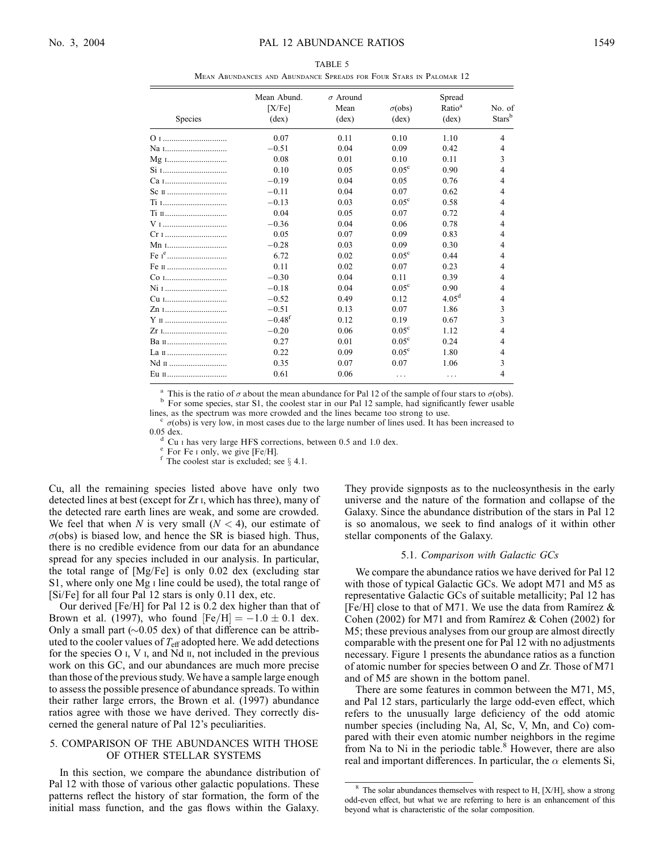Mean Abundances and Abundance Spreads for Four Stars in Palomar 12

| Species           | Mean Abund.<br>[X/Fe]<br>$(\text{dex})$ | $\sigma$ Around<br>Mean<br>$(\text{dex})$ | $\sigma$ (obs)<br>$(\text{dex})$ | Spread<br>Ratio <sup>a</sup><br>$(\text{dex})$ | No. of<br>Starsb |
|-------------------|-----------------------------------------|-------------------------------------------|----------------------------------|------------------------------------------------|------------------|
|                   | 0.07                                    | 0.11                                      | 0.10                             | 1.10                                           | $\overline{4}$   |
| Na 1              | $-0.51$                                 | 0.04                                      | 0.09                             | 0.42                                           | $\overline{4}$   |
| Mg 1              | 0.08                                    | 0.01                                      | 0.10                             | 0.11                                           | 3                |
| Si 1              | 0.10                                    | 0.05                                      | $0.05^{\circ}$                   | 0.90                                           | $\overline{4}$   |
| Ca <sub>I</sub>   | $-0.19$                                 | 0.04                                      | 0.05                             | 0.76                                           | $\overline{4}$   |
| Sc II             | $-0.11$                                 | 0.04                                      | 0.07                             | 0.62                                           | $\overline{4}$   |
| Ti 1              | $-0.13$                                 | 0.03                                      | $0.05^{\circ}$                   | 0.58                                           | $\overline{4}$   |
| Ti п              | 0.04                                    | 0.05                                      | 0.07                             | 0.72                                           | $\overline{4}$   |
| V <sub>I</sub>    | $-0.36$                                 | 0.04                                      | 0.06                             | 0.78                                           | $\overline{4}$   |
| Cr 1              | 0.05                                    | 0.07                                      | 0.09                             | 0.83                                           | $\overline{4}$   |
| Mn 1              | $-0.28$                                 | 0.03                                      | 0.09                             | 0.30                                           | $\overline{4}$   |
| Fe r <sup>e</sup> | 6.72                                    | 0.02                                      | $0.05^{\circ}$                   | 0.44                                           | $\overline{4}$   |
| Fe II             | 0.11                                    | 0.02                                      | 0.07                             | 0.23                                           | $\overline{4}$   |
| Co 1              | $-0.30$                                 | 0.04                                      | 0.11                             | 0.39                                           | $\overline{4}$   |
| Ni 1              | $-0.18$                                 | 0.04                                      | $0.05^{\circ}$                   | 0.90                                           | $\overline{4}$   |
| Cu 1              | $-0.52$                                 | 0.49                                      | 0.12                             | 4.05 <sup>d</sup>                              | $\overline{4}$   |
| Zn 1              | $-0.51$                                 | 0.13                                      | 0.07                             | 1.86                                           | 3                |
| Y п               | $-0.48f$                                | 0.12                                      | 0.19                             | 0.67                                           | 3                |
| Zr 1              | $-0.20$                                 | 0.06                                      | $0.05^{\circ}$                   | 1.12                                           | $\overline{4}$   |
| Ван               | 0.27                                    | 0.01                                      | $0.05^{\circ}$                   | 0.24                                           | $\overline{4}$   |
| La п              | 0.22                                    | 0.09                                      | $0.05^{\circ}$                   | 1.80                                           | $\overline{4}$   |
| Nd II             | 0.35                                    | 0.07                                      | 0.07                             | 1.06                                           | 3                |
| Eu п              | 0.61                                    | 0.06                                      | .                                | .                                              | $\overline{4}$   |

<sup>a</sup> This is the ratio of  $\sigma$  about the mean abundance for Pal 12 of the sample of four stars to  $\sigma$ (obs). b For some species, star S1, the coolest star in our Pal 12 sample, had significantly fewer usable lines, as the

 $\degree$   $\sigma$ (obs) is very low, in most cases due to the large number of lines used. It has been increased to 0.05 dex.

<sup>d</sup> Cu I has very large HFS corrections, between 0.5 and 1.0 dex. e For Fe I only, we give [Fe/H].<br><sup>e</sup> The coolest star is excluded; see  $\S$  4.1.

Cu, all the remaining species listed above have only two detected lines at best (except for Zr i, which has three), many of the detected rare earth lines are weak, and some are crowded. We feel that when N is very small  $(N < 4)$ , our estimate of  $\sigma$ (obs) is biased low, and hence the SR is biased high. Thus, there is no credible evidence from our data for an abundance spread for any species included in our analysis. In particular, the total range of [Mg/Fe] is only 0.02 dex (excluding star S1, where only one Mg<sub>I</sub> line could be used), the total range of [Si/Fe] for all four Pal 12 stars is only 0.11 dex, etc.

Our derived [Fe/H] for Pal 12 is 0.2 dex higher than that of Brown et al. (1997), who found  $[Fe/H] = -1.0 \pm 0.1$  dex. Only a small part  $(\sim 0.05$  dex) of that difference can be attributed to the cooler values of  $T_{\text{eff}}$  adopted here. We add detections for the species  $O I$ , V<sub>I</sub>, and Nd  $II$ , not included in the previous work on this GC, and our abundances are much more precise than those of the previous study. We have a sample large enough to assess the possible presence of abundance spreads. To within their rather large errors, the Brown et al. (1997) abundance ratios agree with those we have derived. They correctly discerned the general nature of Pal 12's peculiarities.

## 5. COMPARISON OF THE ABUNDANCES WITH THOSE OF OTHER STELLAR SYSTEMS

In this section, we compare the abundance distribution of Pal 12 with those of various other galactic populations. These patterns reflect the history of star formation, the form of the initial mass function, and the gas flows within the Galaxy.

They provide signposts as to the nucleosynthesis in the early universe and the nature of the formation and collapse of the Galaxy. Since the abundance distribution of the stars in Pal 12 is so anomalous, we seek to find analogs of it within other stellar components of the Galaxy.

### 5.1. Comparison with Galactic GCs

We compare the abundance ratios we have derived for Pal 12 with those of typical Galactic GCs. We adopt M71 and M5 as representative Galactic GCs of suitable metallicity; Pal 12 has [Fe/H] close to that of M71. We use the data from Ramirez  $\&$ Cohen (2002) for M71 and from Ramirez  $& Cohen (2002)$  for M5; these previous analyses from our group are almost directly comparable with the present one for Pal 12 with no adjustments necessary. Figure 1 presents the abundance ratios as a function of atomic number for species between O and Zr. Those of M71 and of M5 are shown in the bottom panel.

There are some features in common between the M71, M5, and Pal 12 stars, particularly the large odd-even effect, which refers to the unusually large deficiency of the odd atomic number species (including Na, Al, Sc, V, Mn, and Co) compared with their even atomic number neighbors in the regime from Na to Ni in the periodic table. $8$  However, there are also real and important differences. In particular, the  $\alpha$  elements Si,

The solar abundances themselves with respect to  $H$ ,  $[X/H]$ , show a strong odd-even effect, but what we are referring to here is an enhancement of this beyond what is characteristic of the solar composition.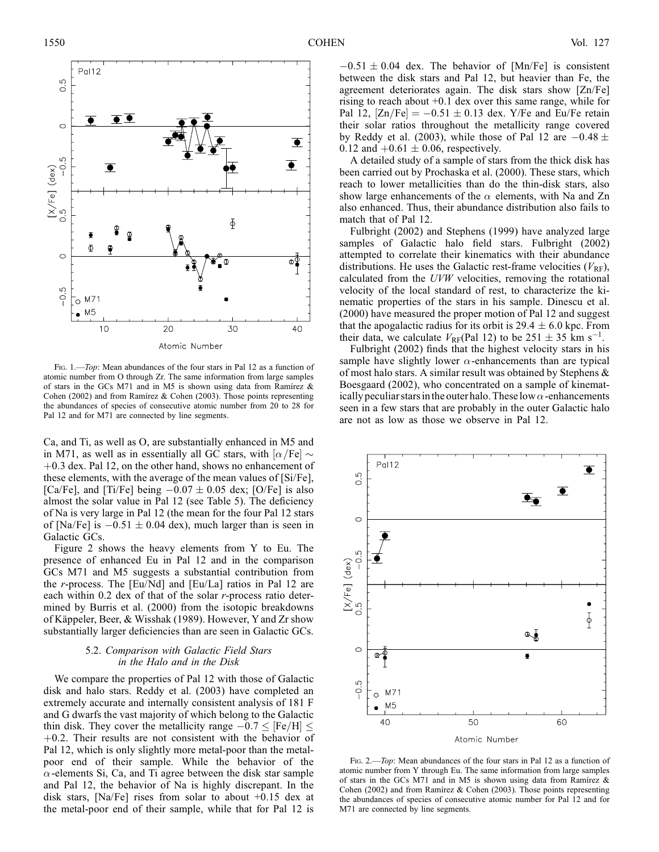

FIG. 1.—Top: Mean abundances of the four stars in Pal 12 as a function of atomic number from O through Zr. The same information from large samples of stars in the GCs M71 and in M5 is shown using data from Ramirez  $\&$ Cohen (2002) and from Ramírez & Cohen (2003). Those points representing the abundances of species of consecutive atomic number from 20 to 28 for Pal 12 and for M71 are connected by line segments.

Ca, and Ti, as well as O, are substantially enhanced in M5 and in M71, as well as in essentially all GC stars, with  $\alpha$ /Fe $\sim$  $+0.3$  dex. Pal 12, on the other hand, shows no enhancement of these elements, with the average of the mean values of [Si/Fe], [Ca/Fe], and [Ti/Fe] being  $-0.07 \pm 0.05$  dex; [O/Fe] is also almost the solar value in Pal 12 (see Table 5). The deficiency of Na is very large in Pal 12 (the mean for the four Pal 12 stars of [Na/Fe] is  $-0.51 \pm 0.04$  dex), much larger than is seen in Galactic GCs.

Figure 2 shows the heavy elements from Y to Eu. The presence of enhanced Eu in Pal 12 and in the comparison GCs M71 and M5 suggests a substantial contribution from the r-process. The [Eu/Nd] and [Eu/La] ratios in Pal 12 are each within  $0.2$  dex of that of the solar r-process ratio determined by Burris et al. (2000) from the isotopic breakdowns of Käppeler, Beer, & Wisshak (1989). However, Y and Zr show substantially larger deficiencies than are seen in Galactic GCs.

## 5.2. Comparison with Galactic Field Stars in the Halo and in the Disk

We compare the properties of Pal 12 with those of Galactic disk and halo stars. Reddy et al. (2003) have completed an extremely accurate and internally consistent analysis of 181 F and G dwarfs the vast majority of which belong to the Galactic thin disk. They cover the metallicity range  $-0.7 \leq$  [Fe/H]  $\leq$  $+0.2$ . Their results are not consistent with the behavior of Pal 12, which is only slightly more metal-poor than the metalpoor end of their sample. While the behavior of the  $\alpha$ -elements Si, Ca, and Ti agree between the disk star sample and Pal 12, the behavior of Na is highly discrepant. In the disk stars, [Na/Fe] rises from solar to about +0.15 dex at the metal-poor end of their sample, while that for Pal 12 is

 $-0.51 \pm 0.04$  dex. The behavior of [Mn/Fe] is consistent between the disk stars and Pal 12, but heavier than Fe, the agreement deteriorates again. The disk stars show [Zn/Fe] rising to reach about +0.1 dex over this same range, while for Pal 12,  $[Zn/Fe] = -0.51 \pm 0.13$  dex. Y/Fe and Eu/Fe retain their solar ratios throughout the metallicity range covered by Reddy et al. (2003), while those of Pal 12 are  $-0.48 \pm$ 0.12 and  $+0.61 \pm 0.06$ , respectively.

A detailed study of a sample of stars from the thick disk has been carried out by Prochaska et al. (2000). These stars, which reach to lower metallicities than do the thin-disk stars, also show large enhancements of the  $\alpha$  elements, with Na and Zn also enhanced. Thus, their abundance distribution also fails to match that of Pal 12.

Fulbright (2002) and Stephens (1999) have analyzed large samples of Galactic halo field stars. Fulbright (2002) attempted to correlate their kinematics with their abundance distributions. He uses the Galactic rest-frame velocities  $(V_{RF})$ , calculated from the UVW velocities, removing the rotational velocity of the local standard of rest, to characterize the kinematic properties of the stars in his sample. Dinescu et al. (2000) have measured the proper motion of Pal 12 and suggest that the apogalactic radius for its orbit is  $29.4 \pm 6.0$  kpc. From their data, we calculate  $V_{RF}(Pal 12)$  to be  $251 \pm 35$  km s<sup>-1</sup>.

Fulbright (2002) finds that the highest velocity stars in his sample have slightly lower  $\alpha$ -enhancements than are typical of most halo stars. A similar result was obtained by Stephens & Boesgaard (2002), who concentrated on a sample of kinematically peculiar stars in the outer halo. These low  $\alpha$ -enhancements seen in a few stars that are probably in the outer Galactic halo are not as low as those we observe in Pal 12.



Fig. 2.—*Top*: Mean abundances of the four stars in Pal 12 as a function of atomic number from Y through Eu. The same information from large samples of stars in the GCs M71 and in M5 is shown using data from Ramírez  $\&$ Cohen (2002) and from Ramírez & Cohen (2003). Those points representing the abundances of species of consecutive atomic number for Pal 12 and for M71 are connected by line segments.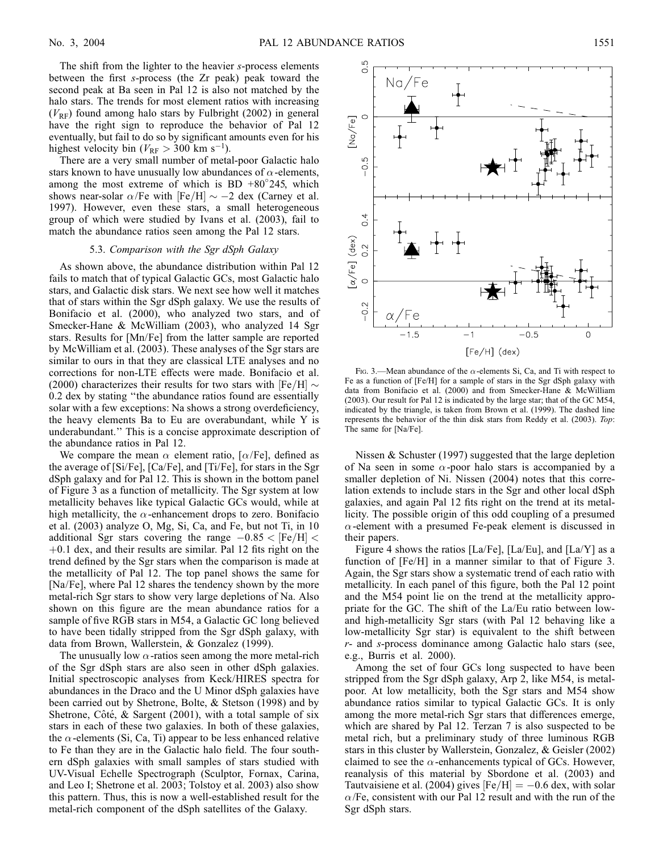The shift from the lighter to the heavier s-process elements between the first s-process (the Zr peak) peak toward the second peak at Ba seen in Pal 12 is also not matched by the halo stars. The trends for most element ratios with increasing  $(V_{RF})$  found among halo stars by Fulbright (2002) in general have the right sign to reproduce the behavior of Pal 12 eventually, but fail to do so by significant amounts even for his highest velocity bin ( $V_{\text{RF}} > 300 \text{ km s}^{-1}$ ).

There are a very small number of metal-poor Galactic halo stars known to have unusually low abundances of  $\alpha$ -elements, among the most extreme of which is BD  $+80^{\circ}245$ , which shows near-solar  $\alpha$ /Fe with [Fe/H]  $\sim -2$  dex (Carney et al. 1997). However, even these stars, a small heterogeneous group of which were studied by Ivans et al. (2003), fail to match the abundance ratios seen among the Pal 12 stars.

### 5.3. Comparison with the Sgr dSph Galaxy

As shown above, the abundance distribution within Pal 12 fails to match that of typical Galactic GCs, most Galactic halo stars, and Galactic disk stars. We next see how well it matches that of stars within the Sgr dSph galaxy. We use the results of Bonifacio et al. (2000), who analyzed two stars, and of Smecker-Hane & McWilliam (2003), who analyzed 14 Sgr stars. Results for [Mn/Fe] from the latter sample are reported by McWilliam et al. (2003). These analyses of the Sgr stars are similar to ours in that they are classical LTE analyses and no corrections for non-LTE effects were made. Bonifacio et al. (2000) characterizes their results for two stars with  $[Fe/H] \sim$ 0:2 dex by stating ''the abundance ratios found are essentially solar with a few exceptions: Na shows a strong overdeficiency, the heavy elements Ba to Eu are overabundant, while Y is underabundant.'' This is a concise approximate description of the abundance ratios in Pal 12.

We compare the mean  $\alpha$  element ratio, [ $\alpha$ /Fe], defined as the average of [Si/Fe], [Ca/Fe], and [Ti/Fe], for stars in the Sgr dSph galaxy and for Pal 12. This is shown in the bottom panel of Figure 3 as a function of metallicity. The Sgr system at low metallicity behaves like typical Galactic GCs would, while at high metallicity, the  $\alpha$ -enhancement drops to zero. Bonifacio et al. (2003) analyze O, Mg, Si, Ca, and Fe, but not Ti, in 10 additional Sgr stars covering the range  $-0.85 <$  [Fe/H]  $<$  $+0.1$  dex, and their results are similar. Pal 12 fits right on the trend defined by the Sgr stars when the comparison is made at the metallicity of Pal 12. The top panel shows the same for [Na/Fe], where Pal 12 shares the tendency shown by the more metal-rich Sgr stars to show very large depletions of Na. Also shown on this figure are the mean abundance ratios for a sample of five RGB stars in M54, a Galactic GC long believed to have been tidally stripped from the Sgr dSph galaxy, with data from Brown, Wallerstein, & Gonzalez (1999).

The unusually low  $\alpha$ -ratios seen among the more metal-rich of the Sgr dSph stars are also seen in other dSph galaxies. Initial spectroscopic analyses from Keck/HIRES spectra for abundances in the Draco and the U Minor dSph galaxies have been carried out by Shetrone, Bolte, & Stetson (1998) and by Shetrone, Côté,  $&$  Sargent (2001), with a total sample of six stars in each of these two galaxies. In both of these galaxies, the  $\alpha$ -elements (Si, Ca, Ti) appear to be less enhanced relative to Fe than they are in the Galactic halo field. The four southern dSph galaxies with small samples of stars studied with UV-Visual Echelle Spectrograph (Sculptor, Fornax, Carina, and Leo I; Shetrone et al. 2003; Tolstoy et al. 2003) also show this pattern. Thus, this is now a well-established result for the metal-rich component of the dSph satellites of the Galaxy.



FIG. 3.—Mean abundance of the  $\alpha$ -elements Si, Ca, and Ti with respect to Fe as a function of [Fe/H] for a sample of stars in the Sgr dSph galaxy with data from Bonifacio et al. (2000) and from Smecker-Hane & McWilliam (2003). Our result for Pal 12 is indicated by the large star; that of the GC M54, indicated by the triangle, is taken from Brown et al. (1999). The dashed line represents the behavior of the thin disk stars from Reddy et al. (2003). Top: The same for [Na/Fe].

Nissen & Schuster (1997) suggested that the large depletion of Na seen in some  $\alpha$ -poor halo stars is accompanied by a smaller depletion of Ni. Nissen (2004) notes that this correlation extends to include stars in the Sgr and other local dSph galaxies, and again Pal 12 fits right on the trend at its metallicity. The possible origin of this odd coupling of a presumed  $\alpha$ -element with a presumed Fe-peak element is discussed in their papers.

Figure 4 shows the ratios [La/Fe], [La/Eu], and [La/Y] as a function of [Fe/H] in a manner similar to that of Figure 3. Again, the Sgr stars show a systematic trend of each ratio with metallicity. In each panel of this figure, both the Pal 12 point and the M54 point lie on the trend at the metallicity appropriate for the GC. The shift of the La/Eu ratio between lowand high-metallicity Sgr stars (with Pal 12 behaving like a low-metallicity Sgr star) is equivalent to the shift between r- and s-process dominance among Galactic halo stars (see, e.g., Burris et al. 2000).

Among the set of four GCs long suspected to have been stripped from the Sgr dSph galaxy, Arp 2, like M54, is metalpoor. At low metallicity, both the Sgr stars and M54 show abundance ratios similar to typical Galactic GCs. It is only among the more metal-rich Sgr stars that differences emerge, which are shared by Pal 12. Terzan 7 is also suspected to be metal rich, but a preliminary study of three luminous RGB stars in this cluster by Wallerstein, Gonzalez, & Geisler (2002) claimed to see the  $\alpha$ -enhancements typical of GCs. However, reanalysis of this material by Sbordone et al. (2003) and Tautvaisiene et al. (2004) gives  $[Fe/H] = -0.6$  dex, with solar  $\alpha$ /Fe, consistent with our Pal 12 result and with the run of the Sgr dSph stars.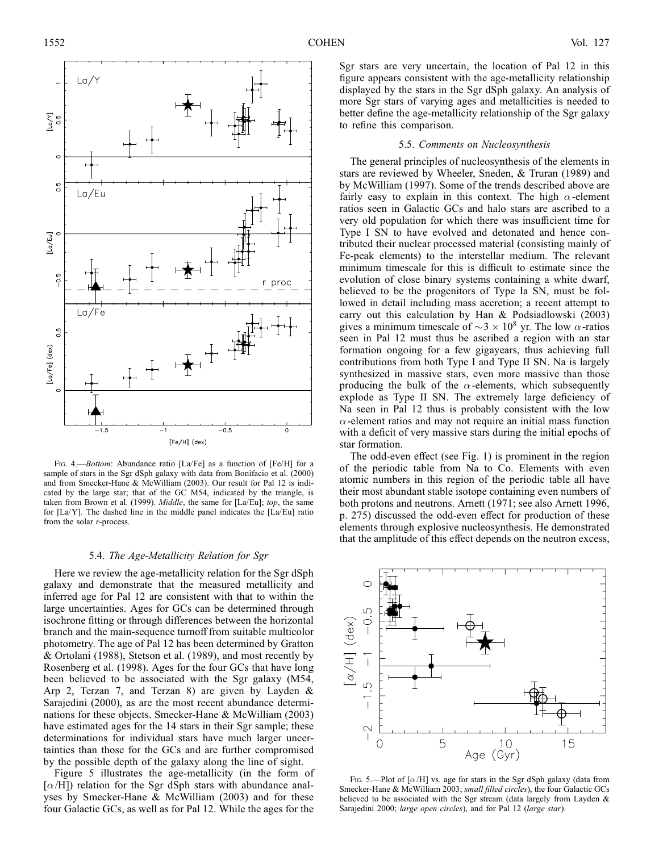

Fig. 4.—*Bottom*: Abundance ratio [La/Fe] as a function of [Fe/H] for a sample of stars in the Sgr dSph galaxy with data from Bonifacio et al. (2000) and from Smecker-Hane & McWilliam (2003). Our result for Pal 12 is indicated by the large star; that of the GC M54, indicated by the triangle, is taken from Brown et al. (1999). *Middle*, the same for [La/Eu]; top, the same for [La/Y]. The dashed line in the middle panel indicates the [La/Eu] ratio from the solar  $r$ -process.

### 5.4. The Age-Metallicity Relation for Sgr

Here we review the age-metallicity relation for the Sgr dSph galaxy and demonstrate that the measured metallicity and inferred age for Pal 12 are consistent with that to within the large uncertainties. Ages for GCs can be determined through isochrone fitting or through differences between the horizontal branch and the main-sequence turnoff from suitable multicolor photometry. The age of Pal 12 has been determined by Gratton & Ortolani (1988), Stetson et al. (1989), and most recently by Rosenberg et al. (1998). Ages for the four GCs that have long been believed to be associated with the Sgr galaxy (M54, Arp 2, Terzan 7, and Terzan 8) are given by Layden & Sarajedini (2000), as are the most recent abundance determinations for these objects. Smecker-Hane & McWilliam (2003) have estimated ages for the 14 stars in their Sgr sample; these determinations for individual stars have much larger uncertainties than those for the GCs and are further compromised by the possible depth of the galaxy along the line of sight.

Figure 5 illustrates the age-metallicity (in the form of  $[\alpha/H]$ ) relation for the Sgr dSph stars with abundance analyses by Smecker-Hane & McWilliam (2003) and for these four Galactic GCs, as well as for Pal 12. While the ages for the

Sgr stars are very uncertain, the location of Pal 12 in this figure appears consistent with the age-metallicity relationship displayed by the stars in the Sgr dSph galaxy. An analysis of more Sgr stars of varying ages and metallicities is needed to better define the age-metallicity relationship of the Sgr galaxy to refine this comparison.

#### 5.5. Comments on Nucleosynthesis

The general principles of nucleosynthesis of the elements in stars are reviewed by Wheeler, Sneden, & Truran (1989) and by McWilliam (1997). Some of the trends described above are fairly easy to explain in this context. The high  $\alpha$ -element ratios seen in Galactic GCs and halo stars are ascribed to a very old population for which there was insufficient time for Type I SN to have evolved and detonated and hence contributed their nuclear processed material (consisting mainly of Fe-peak elements) to the interstellar medium. The relevant minimum timescale for this is difficult to estimate since the evolution of close binary systems containing a white dwarf, believed to be the progenitors of Type Ia SN, must be followed in detail including mass accretion; a recent attempt to carry out this calculation by Han & Podsiadlowski (2003) gives a minimum timescale of  $\sim$ 3  $\times$  10<sup>8</sup> yr. The low  $\alpha$ -ratios seen in Pal 12 must thus be ascribed a region with an star formation ongoing for a few gigayears, thus achieving full contributions from both Type I and Type II SN. Na is largely synthesized in massive stars, even more massive than those producing the bulk of the  $\alpha$ -elements, which subsequently explode as Type II SN. The extremely large deficiency of Na seen in Pal 12 thus is probably consistent with the low  $\alpha$ -element ratios and may not require an initial mass function with a deficit of very massive stars during the initial epochs of star formation.

The odd-even effect (see Fig. 1) is prominent in the region of the periodic table from Na to Co. Elements with even atomic numbers in this region of the periodic table all have their most abundant stable isotope containing even numbers of both protons and neutrons. Arnett (1971; see also Arnett 1996, p. 275) discussed the odd-even effect for production of these elements through explosive nucleosynthesis. He demonstrated that the amplitude of this effect depends on the neutron excess,



Fig. 5.—Plot of  $[\alpha/H]$  vs. age for stars in the Sgr dSph galaxy (data from Smecker-Hane & McWilliam 2003; small filled circles), the four Galactic GCs believed to be associated with the Sgr stream (data largely from Layden & Sarajedini 2000; large open circles), and for Pal 12 (large star).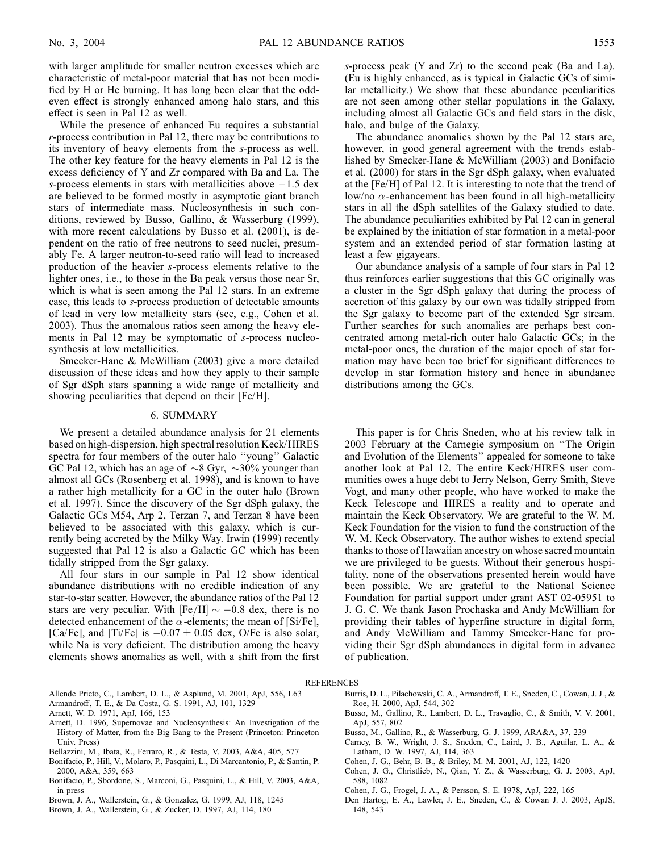with larger amplitude for smaller neutron excesses which are characteristic of metal-poor material that has not been modified by H or He burning. It has long been clear that the oddeven effect is strongly enhanced among halo stars, and this effect is seen in Pal 12 as well.

While the presence of enhanced Eu requires a substantial  $r$ -process contribution in Pal 12, there may be contributions to its inventory of heavy elements from the s-process as well. The other key feature for the heavy elements in Pal 12 is the excess deficiency of Y and Zr compared with Ba and La. The s-process elements in stars with metallicities above  $-1.5$  dex are believed to be formed mostly in asymptotic giant branch stars of intermediate mass. Nucleosynthesis in such conditions, reviewed by Busso, Gallino, & Wasserburg (1999), with more recent calculations by Busso et al. (2001), is dependent on the ratio of free neutrons to seed nuclei, presumably Fe. A larger neutron-to-seed ratio will lead to increased production of the heavier s-process elements relative to the lighter ones, i.e., to those in the Ba peak versus those near Sr, which is what is seen among the Pal 12 stars. In an extreme case, this leads to s-process production of detectable amounts of lead in very low metallicity stars (see, e.g., Cohen et al. 2003). Thus the anomalous ratios seen among the heavy elements in Pal 12 may be symptomatic of s-process nucleosynthesis at low metallicities.

Smecker-Hane & McWilliam (2003) give a more detailed discussion of these ideas and how they apply to their sample of Sgr dSph stars spanning a wide range of metallicity and showing peculiarities that depend on their [Fe/H].

### 6. SUMMARY

We present a detailed abundance analysis for 21 elements based on high-dispersion, high spectral resolution Keck/HIRES spectra for four members of the outer halo ''young'' Galactic GC Pal 12, which has an age of  $\sim$ 8 Gyr,  $\sim$ 30% younger than almost all GCs (Rosenberg et al. 1998), and is known to have a rather high metallicity for a GC in the outer halo (Brown et al. 1997). Since the discovery of the Sgr dSph galaxy, the Galactic GCs M54, Arp 2, Terzan 7, and Terzan 8 have been believed to be associated with this galaxy, which is currently being accreted by the Milky Way. Irwin (1999) recently suggested that Pal 12 is also a Galactic GC which has been tidally stripped from the Sgr galaxy.

All four stars in our sample in Pal 12 show identical abundance distributions with no credible indication of any star-to-star scatter. However, the abundance ratios of the Pal 12 stars are very peculiar. With  $[Fe/H] \sim -0.8$  dex, there is no detected enhancement of the  $\alpha$ -elements; the mean of [Si/Fe], [Ca/Fe], and [Ti/Fe] is  $-0.07 \pm 0.05$  dex, O/Fe is also solar, while Na is very deficient. The distribution among the heavy elements shows anomalies as well, with a shift from the first s-process peak (Y and Zr) to the second peak (Ba and La). (Eu is highly enhanced, as is typical in Galactic GCs of similar metallicity.) We show that these abundance peculiarities are not seen among other stellar populations in the Galaxy, including almost all Galactic GCs and field stars in the disk, halo, and bulge of the Galaxy.

The abundance anomalies shown by the Pal 12 stars are, however, in good general agreement with the trends established by Smecker-Hane & McWilliam (2003) and Bonifacio et al. (2000) for stars in the Sgr dSph galaxy, when evaluated at the [Fe/H] of Pal 12. It is interesting to note that the trend of low/no  $\alpha$ -enhancement has been found in all high-metallicity stars in all the dSph satellites of the Galaxy studied to date. The abundance peculiarities exhibited by Pal 12 can in general be explained by the initiation of star formation in a metal-poor system and an extended period of star formation lasting at least a few gigayears.

Our abundance analysis of a sample of four stars in Pal 12 thus reinforces earlier suggestions that this GC originally was a cluster in the Sgr dSph galaxy that during the process of accretion of this galaxy by our own was tidally stripped from the Sgr galaxy to become part of the extended Sgr stream. Further searches for such anomalies are perhaps best concentrated among metal-rich outer halo Galactic GCs; in the metal-poor ones, the duration of the major epoch of star formation may have been too brief for significant differences to develop in star formation history and hence in abundance distributions among the GCs.

This paper is for Chris Sneden, who at his review talk in 2003 February at the Carnegie symposium on ''The Origin and Evolution of the Elements'' appealed for someone to take another look at Pal 12. The entire Keck/HIRES user communities owes a huge debt to Jerry Nelson, Gerry Smith, Steve Vogt, and many other people, who have worked to make the Keck Telescope and HIRES a reality and to operate and maintain the Keck Observatory. We are grateful to the W. M. Keck Foundation for the vision to fund the construction of the W. M. Keck Observatory. The author wishes to extend special thanks to those of Hawaiian ancestry on whose sacred mountain we are privileged to be guests. Without their generous hospitality, none of the observations presented herein would have been possible. We are grateful to the National Science Foundation for partial support under grant AST 02-05951 to J. G. C. We thank Jason Prochaska and Andy McWilliam for providing their tables of hyperfine structure in digital form, and Andy McWilliam and Tammy Smecker-Hane for providing their Sgr dSph abundances in digital form in advance of publication.

#### **REFERENCES**

- Allende Prieto, C., Lambert, D. L., & Asplund, M. 2001, ApJ, 556, L63
- Armandroff, T. E., & Da Costa, G. S. 1991, AJ, 101, 1329
- Arnett, W. D. 1971, ApJ, 166, 153
- Arnett, D. 1996, Supernovae and Nucleosynthesis: An Investigation of the History of Matter, from the Big Bang to the Present (Princeton: Princeton Univ. Press)
- Bellazzini, M., Ibata, R., Ferraro, R., & Testa, V. 2003, A&A, 405, 577
- Bonifacio, P., Hill, V., Molaro, P., Pasquini, L., Di Marcantonio, P., & Santin, P. 2000, A&A, 359, 663
- Bonifacio, P., Sbordone, S., Marconi, G., Pasquini, L., & Hill, V. 2003, A&A, in press
- Brown, J. A., Wallerstein, G., & Gonzalez, G. 1999, AJ, 118, 1245
- Brown, J. A., Wallerstein, G., & Zucker, D. 1997, AJ, 114, 180
- Burris, D. L., Pilachowski, C. A., Armandroff, T. E., Sneden, C., Cowan, J. J., & Roe, H. 2000, ApJ, 544, 302
- Busso, M., Gallino, R., Lambert, D. L., Travaglio, C., & Smith, V. V. 2001, ApJ, 557, 802
- Busso, M., Gallino, R., & Wasserburg, G. J. 1999, ARA&A, 37, 239
- Carney, B. W., Wright, J. S., Sneden, C., Laird, J. B., Aguilar, L. A., &
- Latham, D. W. 1997, AJ, 114, 363
- Cohen, J. G., Behr, B. B., & Briley, M. M. 2001, AJ, 122, 1420
- Cohen, J. G., Christlieb, N., Qian, Y. Z., & Wasserburg, G. J. 2003, ApJ, 588, 1082
- Cohen, J. G., Frogel, J. A., & Persson, S. E. 1978, ApJ, 222, 165
- Den Hartog, E. A., Lawler, J. E., Sneden, C., & Cowan J. J. 2003, ApJS, 148, 543